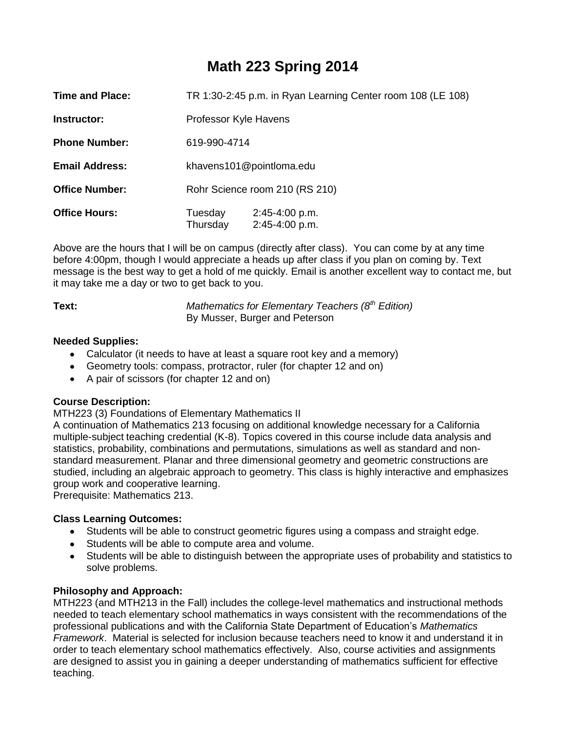# **Math 223 Spring 2014**

| <b>Time and Place:</b> | TR 1:30-2:45 p.m. in Ryan Learning Center room 108 (LE 108) |                                    |  |  |
|------------------------|-------------------------------------------------------------|------------------------------------|--|--|
| Instructor:            | Professor Kyle Havens                                       |                                    |  |  |
| <b>Phone Number:</b>   | 619-990-4714                                                |                                    |  |  |
| <b>Email Address:</b>  | khavens101@pointloma.edu                                    |                                    |  |  |
| <b>Office Number:</b>  | Rohr Science room 210 (RS 210)                              |                                    |  |  |
| <b>Office Hours:</b>   | Tuesday<br>Thursday                                         | $2:45-4:00 p.m.$<br>2:45-4:00 p.m. |  |  |

Above are the hours that I will be on campus (directly after class). You can come by at any time before 4:00pm, though I would appreciate a heads up after class if you plan on coming by. Text message is the best way to get a hold of me quickly. Email is another excellent way to contact me, but it may take me a day or two to get back to you.

**Text:** *Mathematics for Elementary Teachers (8th Edition)*  By Musser, Burger and Peterson

## **Needed Supplies:**

- Calculator (it needs to have at least a square root key and a memory)
- Geometry tools: compass, protractor, ruler (for chapter 12 and on)
- A pair of scissors (for chapter 12 and on)

# **Course Description:**

MTH223 (3) Foundations of Elementary Mathematics II

A continuation of Mathematics 213 focusing on additional knowledge necessary for a California multiple-subject teaching credential (K-8). Topics covered in this course include data analysis and statistics, probability, combinations and permutations, simulations as well as standard and nonstandard measurement. Planar and three dimensional geometry and geometric constructions are studied, including an algebraic approach to geometry. This class is highly interactive and emphasizes group work and cooperative learning.

Prerequisite: Mathematics 213.

# **Class Learning Outcomes:**

- Students will be able to construct geometric figures using a compass and straight edge.
- Students will be able to compute area and volume.
- Students will be able to distinguish between the appropriate uses of probability and statistics to solve problems.

# **Philosophy and Approach:**

MTH223 (and MTH213 in the Fall) includes the college-level mathematics and instructional methods needed to teach elementary school mathematics in ways consistent with the recommendations of the professional publications and with the California State Department of Education's *Mathematics Framework*. Material is selected for inclusion because teachers need to know it and understand it in order to teach elementary school mathematics effectively. Also, course activities and assignments are designed to assist you in gaining a deeper understanding of mathematics sufficient for effective teaching.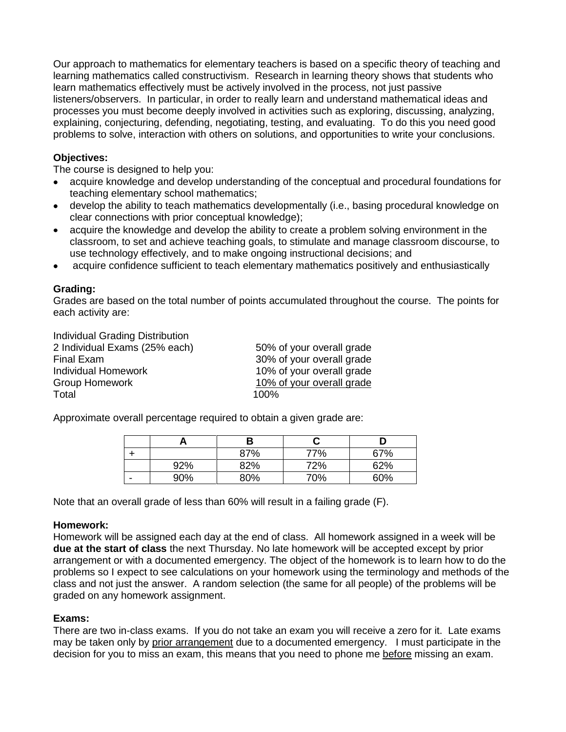Our approach to mathematics for elementary teachers is based on a specific theory of teaching and learning mathematics called constructivism. Research in learning theory shows that students who learn mathematics effectively must be actively involved in the process, not just passive listeners/observers. In particular, in order to really learn and understand mathematical ideas and processes you must become deeply involved in activities such as exploring, discussing, analyzing, explaining, conjecturing, defending, negotiating, testing, and evaluating. To do this you need good problems to solve, interaction with others on solutions, and opportunities to write your conclusions.

## **Objectives:**

The course is designed to help you:

- acquire knowledge and develop understanding of the conceptual and procedural foundations for teaching elementary school mathematics;
- develop the ability to teach mathematics developmentally (i.e., basing procedural knowledge on clear connections with prior conceptual knowledge);
- acquire the knowledge and develop the ability to create a problem solving environment in the classroom, to set and achieve teaching goals, to stimulate and manage classroom discourse, to use technology effectively, and to make ongoing instructional decisions; and
- acquire confidence sufficient to teach elementary mathematics positively and enthusiastically

## **Grading:**

Grades are based on the total number of points accumulated throughout the course. The points for each activity are:

Individual Grading Distribution 2 Individual Exams (25% each) 50% of your overall grade Final Exam 30% of your overall grade Individual Homework 10% of your overall grade Group Homework **10%** of your overall grade Total 100%

Approximate overall percentage required to obtain a given grade are:

|     | 87% | 77% | 67% |
|-----|-----|-----|-----|
| 92% | 82% | 72% | 62% |
| 90% | 80% | 70% | 60% |

Note that an overall grade of less than 60% will result in a failing grade (F).

## **Homework:**

Homework will be assigned each day at the end of class. All homework assigned in a week will be **due at the start of class** the next Thursday. No late homework will be accepted except by prior arrangement or with a documented emergency. The object of the homework is to learn how to do the problems so I expect to see calculations on your homework using the terminology and methods of the class and not just the answer. A random selection (the same for all people) of the problems will be graded on any homework assignment.

## **Exams:**

There are two in-class exams. If you do not take an exam you will receive a zero for it. Late exams may be taken only by prior arrangement due to a documented emergency. I must participate in the decision for you to miss an exam, this means that you need to phone me before missing an exam.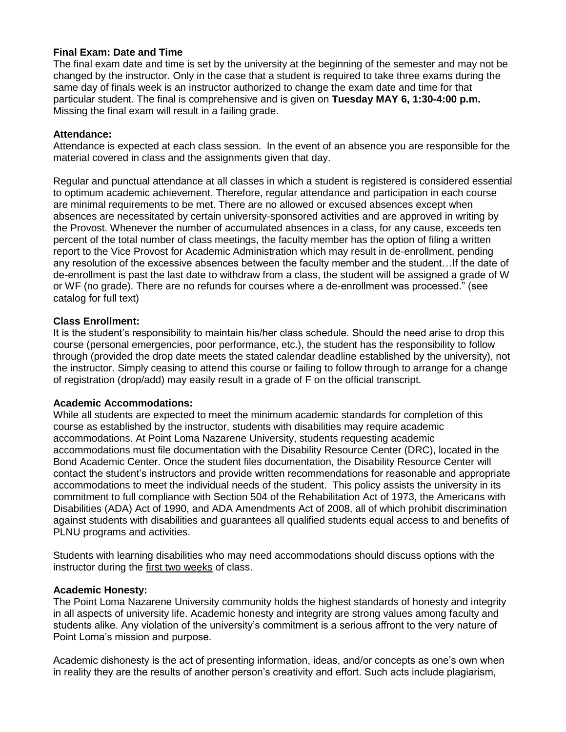#### **Final Exam: Date and Time**

The final exam date and time is set by the university at the beginning of the semester and may not be changed by the instructor. Only in the case that a student is required to take three exams during the same day of finals week is an instructor authorized to change the exam date and time for that particular student. The final is comprehensive and is given on **Tuesday MAY 6, 1:30-4:00 p.m.** Missing the final exam will result in a failing grade.

#### **Attendance:**

Attendance is expected at each class session. In the event of an absence you are responsible for the material covered in class and the assignments given that day.

Regular and punctual attendance at all classes in which a student is registered is considered essential to optimum academic achievement. Therefore, regular attendance and participation in each course are minimal requirements to be met. There are no allowed or excused absences except when absences are necessitated by certain university-sponsored activities and are approved in writing by the Provost. Whenever the number of accumulated absences in a class, for any cause, exceeds ten percent of the total number of class meetings, the faculty member has the option of filing a written report to the Vice Provost for Academic Administration which may result in de-enrollment, pending any resolution of the excessive absences between the faculty member and the student…If the date of de-enrollment is past the last date to withdraw from a class, the student will be assigned a grade of W or WF (no grade). There are no refunds for courses where a de-enrollment was processed." (see catalog for full text)

#### **Class Enrollment:**

It is the student's responsibility to maintain his/her class schedule. Should the need arise to drop this course (personal emergencies, poor performance, etc.), the student has the responsibility to follow through (provided the drop date meets the stated calendar deadline established by the university), not the instructor. Simply ceasing to attend this course or failing to follow through to arrange for a change of registration (drop/add) may easily result in a grade of F on the official transcript.

#### **Academic Accommodations:**

While all students are expected to meet the minimum academic standards for completion of this course as established by the instructor, students with disabilities may require academic accommodations. At Point Loma Nazarene University, students requesting academic accommodations must file documentation with the Disability Resource Center (DRC), located in the Bond Academic Center. Once the student files documentation, the Disability Resource Center will contact the student's instructors and provide written recommendations for reasonable and appropriate accommodations to meet the individual needs of the student. This policy assists the university in its commitment to full compliance with Section 504 of the Rehabilitation Act of 1973, the Americans with Disabilities (ADA) Act of 1990, and ADA Amendments Act of 2008, all of which prohibit discrimination against students with disabilities and guarantees all qualified students equal access to and benefits of PLNU programs and activities.

Students with learning disabilities who may need accommodations should discuss options with the instructor during the first two weeks of class.

#### **Academic Honesty:**

The Point Loma Nazarene University community holds the highest standards of honesty and integrity in all aspects of university life. Academic honesty and integrity are strong values among faculty and students alike. Any violation of the university's commitment is a serious affront to the very nature of Point Loma's mission and purpose.

Academic dishonesty is the act of presenting information, ideas, and/or concepts as one's own when in reality they are the results of another person's creativity and effort. Such acts include plagiarism,